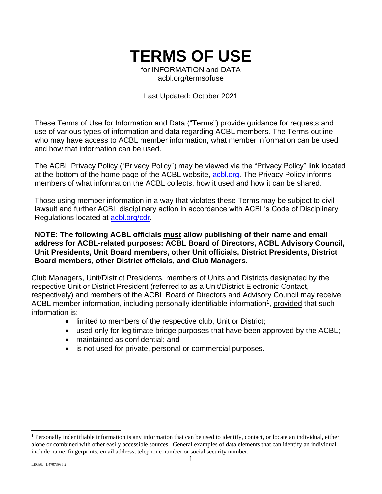# **TERMS OF USE**

for INFORMATION and DATA acbl.org/termsofuse

Last Updated: October 2021

These Terms of Use for Information and Data ("Terms") provide guidance for requests and use of various types of information and data regarding ACBL members. The Terms outline who may have access to ACBL member information, what member information can be used and how that information can be used.

The ACBL Privacy Policy ("Privacy Policy") may be viewed via the "Privacy Policy" link located at the bottom of the home page of the ACBL website, acblorg. The Privacy Policy informs members of what information the ACBL collects, how it used and how it can be shared.

Those using member information in a way that violates these Terms may be subject to civil lawsuit and further ACBL disciplinary action in accordance with ACBL's Code of Disciplinary Regulations located at acbl.org/cdr.

### **NOTE: The following ACBL officials must allow publishing of their name and email address for ACBL-related purposes: ACBL Board of Directors, ACBL Advisory Council, Unit Presidents, Unit Board members, other Unit officials, District Presidents, District Board members, other District officials, and Club Managers.**

Club Managers, Unit/District Presidents, members of Units and Districts designated by the respective Unit or District President (referred to as a Unit/District Electronic Contact, respectively) and members of the ACBL Board of Directors and Advisory Council may receive ACBL member information, including personally identifiable information<sup>1</sup>, provided that such information is:

- limited to members of the respective club, Unit or District;
- used only for legitimate bridge purposes that have been approved by the ACBL;
- maintained as confidential; and
- is not used for private, personal or commercial purposes.

<sup>&</sup>lt;sup>1</sup> Personally indentifiable information is any information that can be used to identify, contact, or locate an individual, either alone or combined with other easily accessible sources. General examples of data elements that can identify an individual include name, fingerprints, email address, telephone number or social security number.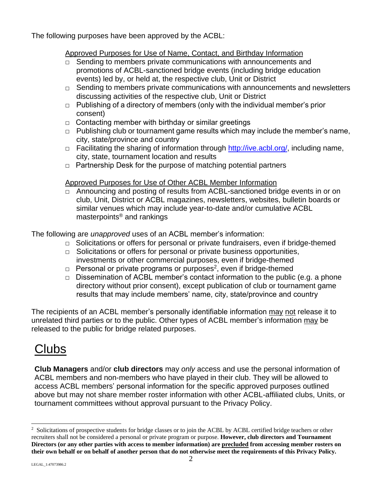The following purposes have been approved by the ACBL:

### Approved Purposes for Use of Name, Contact, and Birthday Information

- □ Sending to members private communications with announcements and promotions of ACBL-sanctioned bridge events (including bridge education events) led by, or held at, the respective club, Unit or District
- $\Box$  Sending to members private communications with announcements and newsletters discussing activities of the respective club, Unit or District
- $\Box$  Publishing of a directory of members (only with the individual member's prior consent)
- $\Box$  Contacting member with birthday or similar greetings
- $\Box$  Publishing club or tournament game results which may include the member's name, city, state/province and country
- □ Facilitating the sharing of information through http://ive.acbl.org/, including name, city, state, tournament location and results
- $\Box$  Partnership Desk for the purpose of matching potential partners

### Approved Purposes for Use of Other ACBL Member Information

□ Announcing and posting of results from ACBL-sanctioned bridge events in or on club, Unit, District or ACBL magazines, newsletters, websites, bulletin boards or similar venues which may include year-to-date and/or cumulative ACBL masterpoints® and rankings

The following are *unapproved* uses of an ACBL member's information:

- □ Solicitations or offers for personal or private fundraisers, even if bridge-themed
- □ Solicitations or offers for personal or private business opportunities, investments or other commercial purposes, even if bridge-themed
- $\Box$  Personal or private programs or purposes<sup>2</sup>, even if bridge-themed
- $\Box$  Dissemination of ACBL member's contact information to the public (e.g. a phone directory without prior consent), except publication of club or tournament game results that may include members' name, city, state/province and country

The recipients of an ACBL member's personally identifiable information may not release it to unrelated third parties or to the public. Other types of ACBL member's information may be released to the public for bridge related purposes.

## Clubs

**Club Managers** and/or **club directors** may *only* access and use the personal information of ACBL members and non-members who have played in their club. They will be allowed to access ACBL members' personal information for the specific approved purposes outlined above but may not share member roster information with other ACBL-affiliated clubs, Units, or tournament committees without approval pursuant to the Privacy Policy.

<sup>&</sup>lt;sup>2</sup> Solicitations of prospective students for bridge classes or to join the ACBL by ACBL certified bridge teachers or other recruiters shall not be considered a personal or private program or purpose. **However, club directors and Tournament Directors (or any other parties with access to member information) are precluded from accessing member rosters on their own behalf or on behalf of another person that do not otherwise meet the requirements of this Privacy Policy.**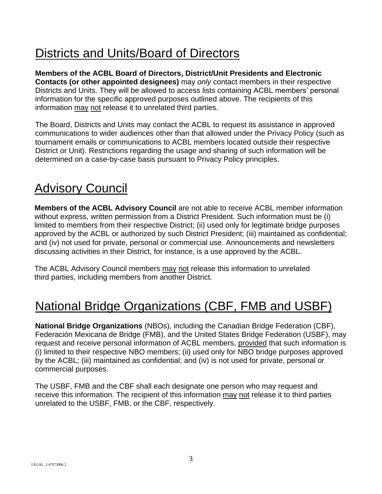# Districts and Units/Board of Directors

**Members of the ACBL Board of Directors, District/Unit Presidents and Electronic Contacts (or other appointed designees)** may *only* contact members in their respective Districts and Units. They will be allowed to access lists containing ACBL members' personal information for the specific approved purposes outlined above. The recipients of this information may not release it to unrelated third parties.

The Board, Districts and Units may contact the ACBL to request its assistance in approved communications to wider audiences other than that allowed under the Privacy Policy (such as tournament emails or communications to ACBL members located outside their respective District or Unit). Restrictions regarding the usage and sharing of such information will be determined on a case-by-case basis pursuant to Privacy Policy principles.

## Advisory Council

**Members of the ACBL Advisory Council** are not able to receive ACBL member information without express, written permission from a District President. Such information must be (i) limited to members from their respective District; (ii) used only for legitimate bridge purposes approved by the ACBL or authorized by such District President; (iii) maintained as confidential; and (iv) not used for private, personal or commercial use. Announcements and newsletters discussing activities in their District, for instance, is a use approved by the ACBL.

The ACBL Advisory Council members may not release this information to unrelated third parties, including members from another District.

## National Bridge Organizations (CBF, FMB and USBF)

**National Bridge Organizations** (NBOs), including the Canadian Bridge Federation (CBF), Federación Mexicana de Bridge (FMB), and the United States Bridge Federation (USBF), may request and receive personal information of ACBL members, provided that such information is (i) limited to their respective NBO members; (ii) used only for NBO bridge purposes approved by the ACBL; (iii) maintained as confidential; and (iv) is not used for private, personal or commercial purposes.

The USBF, FMB and the CBF shall each designate one person who may request and receive this information. The recipient of this information may not release it to third parties unrelated to the USBF, FMB, or the CBF, respectively.